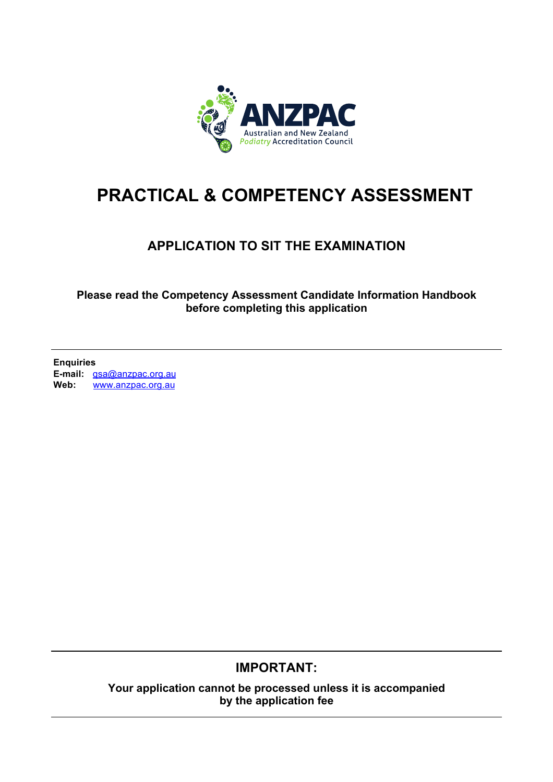

# **PRACTICAL & COMPETENCY ASSESSMENT**

# **APPLICATION TO SIT THE EXAMINATION**

**Please read the Competency Assessment Candidate Information Handbook before completing this application** 

**Enquiries E-mail:** qsa@anzpac.org.au<br>Web: www.anzpac.org.au **Web:** www.anzpac.org.au

# **IMPORTANT:**

**Your application cannot be processed unless it is accompanied by the application fee**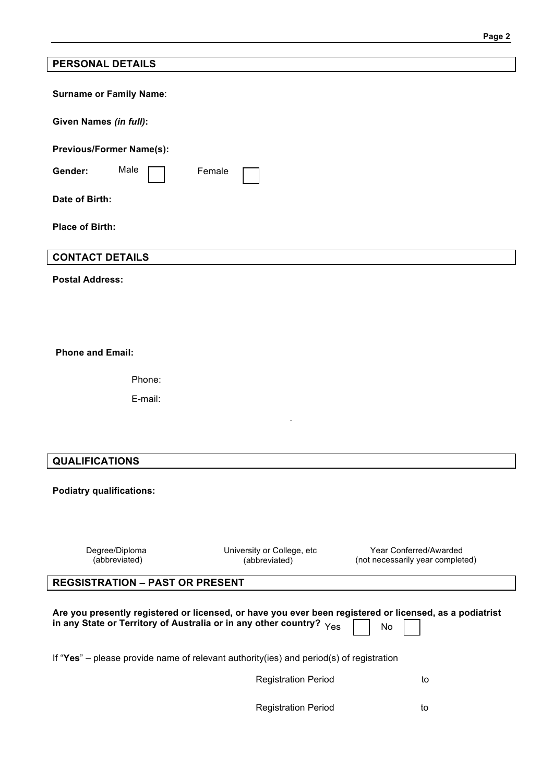| <b>PERSONAL DETAILS</b>                                                                                                                                                                                 |                                             |                                                            |
|---------------------------------------------------------------------------------------------------------------------------------------------------------------------------------------------------------|---------------------------------------------|------------------------------------------------------------|
| <b>Surname or Family Name:</b>                                                                                                                                                                          |                                             |                                                            |
| Given Names (in full):                                                                                                                                                                                  |                                             |                                                            |
| <b>Previous/Former Name(s):</b>                                                                                                                                                                         |                                             |                                                            |
| Male<br>Gender:                                                                                                                                                                                         | Female                                      |                                                            |
| Date of Birth:                                                                                                                                                                                          |                                             |                                                            |
| <b>Place of Birth:</b>                                                                                                                                                                                  |                                             |                                                            |
| <b>CONTACT DETAILS</b>                                                                                                                                                                                  |                                             |                                                            |
| <b>Postal Address:</b>                                                                                                                                                                                  |                                             |                                                            |
|                                                                                                                                                                                                         |                                             |                                                            |
|                                                                                                                                                                                                         |                                             |                                                            |
| <b>Phone and Email:</b>                                                                                                                                                                                 |                                             |                                                            |
| Phone:                                                                                                                                                                                                  |                                             |                                                            |
| E-mail:                                                                                                                                                                                                 |                                             |                                                            |
|                                                                                                                                                                                                         |                                             |                                                            |
|                                                                                                                                                                                                         |                                             |                                                            |
| <b>QUALIFICATIONS</b>                                                                                                                                                                                   |                                             |                                                            |
| <b>Podiatry qualifications:</b>                                                                                                                                                                         |                                             |                                                            |
|                                                                                                                                                                                                         |                                             |                                                            |
| Degree/Diploma<br>(abbreviated)                                                                                                                                                                         | University or College, etc<br>(abbreviated) | Year Conferred/Awarded<br>(not necessarily year completed) |
| <b>REGSISTRATION - PAST OR PRESENT</b>                                                                                                                                                                  |                                             |                                                            |
| Are you presently registered or licensed, or have you ever been registered or licensed, as a podiatrist<br>in any State or Territory of Australia or in any other country? $Y_{\text{ES}}$<br><b>No</b> |                                             |                                                            |
| If "Yes" – please provide name of relevant authority(ies) and period(s) of registration                                                                                                                 |                                             |                                                            |
|                                                                                                                                                                                                         | <b>Registration Period</b>                  | to                                                         |

Registration Period **to** to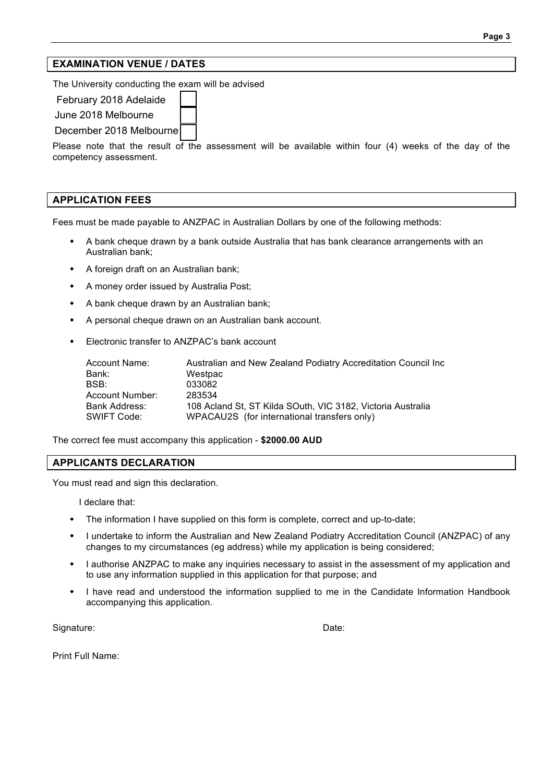### **EXAMINATION VENUE / DATES**

The University conducting the exam will be advised

February 2018 Adelaide

June 2018 Melbourne

December 2018 Melbourne

Please note that the result of the assessment will be available within four (4) weeks of the day of the competency assessment.

#### **APPLICATION FEES**

Fees must be made payable to ANZPAC in Australian Dollars by one of the following methods:

- A bank cheque drawn by a bank outside Australia that has bank clearance arrangements with an Australian bank;
- A foreign draft on an Australian bank;
- A money order issued by Australia Post;
- A bank cheque drawn by an Australian bank;
- A personal cheque drawn on an Australian bank account.
- Electronic transfer to ANZPAC's bank account

| Account Name:   | Australian and New Zealand Podiatry Accreditation Council Inc |
|-----------------|---------------------------------------------------------------|
| Bank:           | Westpac                                                       |
| BSB:            | 033082                                                        |
| Account Number: | 283534                                                        |
| Bank Address:   | 108 Acland St. ST Kilda SOuth. VIC 3182. Victoria Australia   |
| SWIFT Code:     | WPACAU2S (for international transfers only)                   |

The correct fee must accompany this application - **\$2000.00 AUD**

#### **APPLICANTS DECLARATION**

You must read and sign this declaration.

I declare that:

- The information I have supplied on this form is complete, correct and up-to-date;
- I undertake to inform the Australian and New Zealand Podiatry Accreditation Council (ANZPAC) of any changes to my circumstances (eg address) while my application is being considered;
- I authorise ANZPAC to make any inquiries necessary to assist in the assessment of my application and to use any information supplied in this application for that purpose; and
- I have read and understood the information supplied to me in the Candidate Information Handbook accompanying this application.

Signature: Date: Date: Date: Date: Date: Date: Date: Date: Date: Date: Date: Date: Date: Date: Date: Date: Date: Date: Date: Date: Date: Date: Date: Date: Date: Date: Date: Date: Date: Date: Date: Date: Date: Date: Date: D

Print Full Name: